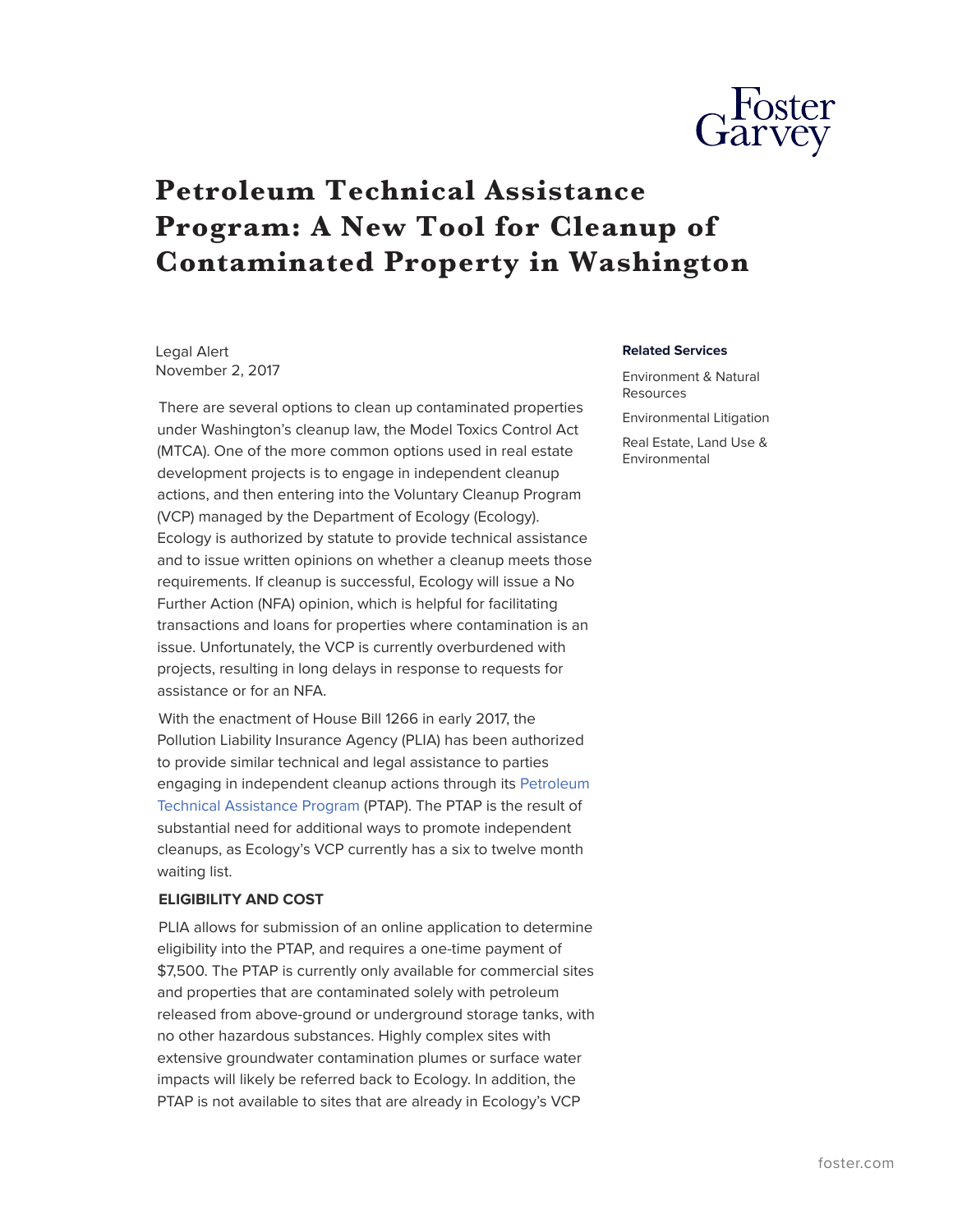

# **Petroleum Technical Assistance Program: A New Tool for Cleanup of Contaminated Property in Washington**

Legal Alert November 2, 2017

There are several options to clean up contaminated properties under Washington's cleanup law, the Model Toxics Control Act (MTCA). One of the more common options used in real estate development projects is to engage in independent cleanup actions, and then entering into the Voluntary Cleanup Program (VCP) managed by the Department of Ecology (Ecology). Ecology is authorized by statute to provide technical assistance and to issue written opinions on whether a cleanup meets those requirements. If cleanup is successful, Ecology will issue a No Further Action (NFA) opinion, which is helpful for facilitating transactions and loans for properties where contamination is an issue. Unfortunately, the VCP is currently overburdened with projects, resulting in long delays in response to requests for assistance or for an NFA.

With the enactment of House Bill 1266 in early 2017, the Pollution Liability Insurance Agency (PLIA) has been authorized to provide similar technical and legal assistance to parties engaging in independent cleanup actions through its [Petroleum](https://plia.wa.gov/ptap/) [Technical Assistance Program](https://plia.wa.gov/ptap/) (PTAP). The PTAP is the result of substantial need for additional ways to promote independent cleanups, as Ecology's VCP currently has a six to twelve month waiting list.

#### **ELIGIBILITY AND COST**

PLIA allows for submission of an online application to determine eligibility into the PTAP, and requires a one-time payment of \$7,500. The PTAP is currently only available for commercial sites and properties that are contaminated solely with petroleum released from above-ground or underground storage tanks, with no other hazardous substances. Highly complex sites with extensive groundwater contamination plumes or surface water impacts will likely be referred back to Ecology. In addition, the PTAP is not available to sites that are already in Ecology's VCP

#### **Related Services**

Environment & Natural Resources

Environmental Litigation Real Estate, Land Use & Environmental